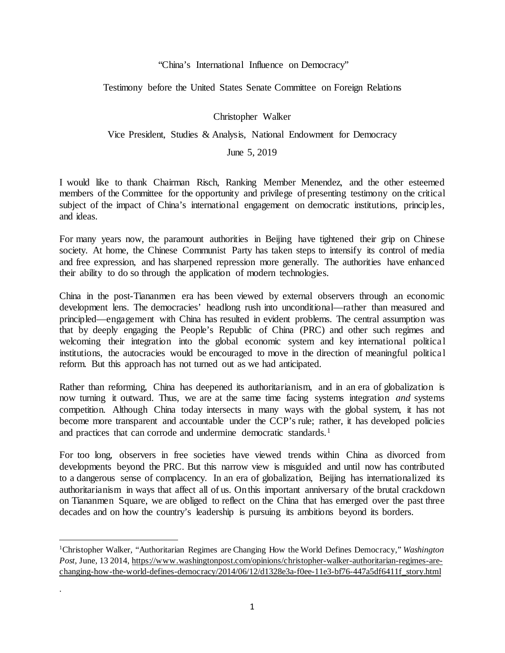"China's International Influence on Democracy"

Testimony before the United States Senate Committee on Foreign Relations

Christopher Walker

Vice President, Studies & Analysis, National Endowment for Democracy

June 5, 2019

I would like to thank Chairman Risch, Ranking Member Menendez, and the other esteemed members of the Committee for the opportunity and privilege of presenting testimony on the critical subject of the impact of China's international engagement on democratic institutions, princip les, and ideas.

For many years now, the paramount authorities in Beijing have tightened their grip on Chinese society. At home, the Chinese Communist Party has taken steps to intensify its control of media and free expression, and has sharpened repression more generally. The authorities have enhanced their ability to do so through the application of modern technologies.

China in the post-Tiananmen era has been viewed by external observers through an economic development lens. The democracies' headlong rush into unconditional—rather than measured and principled—engagement with China has resulted in evident problems. The central assumption was that by deeply engaging the People's Republic of China (PRC) and other such regimes and welcoming their integration into the global economic system and key international political institutions, the autocracies would be encouraged to move in the direction of meaningful political reform. But this approach has not turned out as we had anticipated.

Rather than reforming, China has deepened its authoritarianism, and in an era of globalization is now turning it outward. Thus, we are at the same time facing systems integration *and* systems competition. Although China today intersects in many ways with the global system, it has not become more transparent and accountable under the CCP's rule; rather, it has developed policies and practices that can corrode and undermine democratic standards.<sup>[1](#page-0-0)</sup>

For too long, observers in free societies have viewed trends within China as divorced from developments beyond the PRC. But this narrow view is misguided and until now has contributed to a dangerous sense of complacency. In an era of globalization, Beijing has internationalized its authoritarianism in ways that affect all of us. On this important anniversary of the brutal crackdown on Tiananmen Square, we are obliged to reflect on the China that has emerged over the past three decades and on how the country's leadership is pursuing its ambitions beyond its borders.

l

.

<span id="page-0-0"></span><sup>1</sup>Christopher Walker, "Authoritarian Regimes are Changing How the World Defines Democracy," *Washington Post*, June, 13 2014, [https://www.washingtonpost.com/opinions/christopher-walker-authoritarian-regimes-are](https://www.washingtonpost.com/opinions/christopher-walker-authoritarian-regimes-are-changing-how-the-world-defines-democracy/2014/06/12/d1328e3a-f0ee-11e3-bf76-447a5df6411f_story.html)[changing-how-the-world-defines-democracy/2014/06/12/d1328e3a-f0ee-11e3-bf76-447a5df6411f\\_story.html](https://www.washingtonpost.com/opinions/christopher-walker-authoritarian-regimes-are-changing-how-the-world-defines-democracy/2014/06/12/d1328e3a-f0ee-11e3-bf76-447a5df6411f_story.html)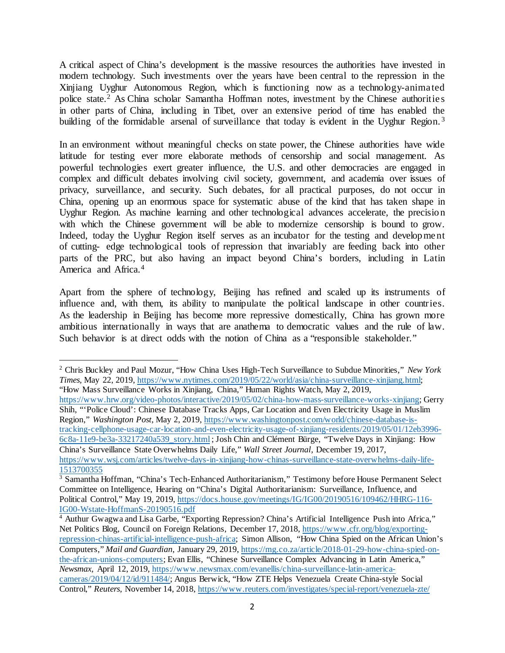A critical aspect of China's development is the massive resources the authorities have invested in modern technology. Such investments over the years have been central to the repression in the Xinjiang Uyghur Autonomous Region, which is functioning now as a technology-animated police state.[2](#page-1-0) As China scholar Samantha Hoffman notes, investment by the Chinese authorities in other parts of China, including in Tibet, over an extensive period of time has enabled the building of the formidable arsenal of surveillance that today is evident in the Uyghur Region.<sup>[3](#page-1-1)</sup>

In an environment without meaningful checks on state power, the Chinese authorities have wide latitude for testing ever more elaborate methods of censorship and social management. As powerful technologies exert greater influence, the U.S. and other democracies are engaged in complex and difficult debates involving civil society, government, and academia over issues of privacy, surveillance, and security. Such debates, for all practical purposes, do not occur in China, opening up an enormous space for systematic abuse of the kind that has taken shape in Uyghur Region. As machine learning and other technological advances accelerate, the precisio n with which the Chinese government will be able to modernize censorship is bound to grow. Indeed, today the Uyghur Region itself serves as an incubator for the testing and develop ment of cutting- edge technological tools of repression that invariably are feeding back into other parts of the PRC, but also having an impact beyond China's borders, including in Latin America and Africa.[4](#page-1-2)

Apart from the sphere of technology, Beijing has refined and scaled up its instruments of influence and, with them, its ability to manipulate the political landscape in other countries. As the leadership in Beijing has become more repressive domestically, China has grown more ambitious internationally in ways that are anathema to democratic values and the rule of law. Such behavior is at direct odds with the notion of China as a "responsible stakeholder."

[https://www.hrw.org/video-photos/interactive/2019/05/02/china-how-mass-surveillance-works-xinjiang;](https://www.hrw.org/video-photos/interactive/2019/05/02/china-how-mass-surveillance-works-xinjiang) Gerry Shih, "'Police Cloud': Chinese Database Tracks Apps, Car Location and Even Electricity Usage in Muslim Region," *Washington Post*, May 2, 2019, [https://www.washingtonpost.com/world/chinese-database-is](https://www.washingtonpost.com/world/chinese-database-is-tracking-cellphone-usage-car-location-and-even-electricity-usage-of-xinjiang-residents/2019/05/01/12eb3996-6c8a-11e9-be3a-33217240a539_story.html)[tracking-cellphone-usage-car-location-and-even-electricity-usage-of-xinjiang-residents/2019/05/01/12eb3996-](https://www.washingtonpost.com/world/chinese-database-is-tracking-cellphone-usage-car-location-and-even-electricity-usage-of-xinjiang-residents/2019/05/01/12eb3996-6c8a-11e9-be3a-33217240a539_story.html) [6c8a-11e9-be3a-33217240a539\\_story.html](https://www.washingtonpost.com/world/chinese-database-is-tracking-cellphone-usage-car-location-and-even-electricity-usage-of-xinjiang-residents/2019/05/01/12eb3996-6c8a-11e9-be3a-33217240a539_story.html) ; Josh Chin and Clément Bürge, "Twelve Days in Xinjiang: How China's Surveillance State Overwhelms Daily Life," *Wall Street Journal,* December 19, 2017, https://www.wsj.com/articles/twelve-days-in-xinjiang-how-chinas-surveillance-state-overwhelms-daily-life-<br>1513700355

<span id="page-1-0"></span>l <sup>2</sup> Chris Buckley and Paul Mozur, "How China Uses High-Tech Surveillance to Subdue Minorities," *New York Times,* May 22, 2019, [https://www.nytimes.com/2019/05/22/world/asia/china-surveillance-xinjiang.html;](https://www.nytimes.com/2019/05/22/world/asia/china-surveillance-xinjiang.html)  "How Mass Surveillance Works in Xinjiang, China," Human Rights Watch*,* May 2, 2019,

<span id="page-1-1"></span><sup>&</sup>lt;sup>3</sup> Samantha Hoffman, "China's Tech-Enhanced Authoritarianism," Testimony before House Permanent Select Committee on Intelligence, Hearing on "China's Digital Authoritarianism: Surveillance, Influence, and Political Control," May 19, 2019, [https://docs.house.gov/meetings/IG/IG00/20190516/109462/HHRG-116-](https://docs.house.gov/meetings/IG/IG00/20190516/109462/HHRG-116-IG00-Wstate-HoffmanS-20190516.pdf) [IG00-Wstate-HoffmanS-20190516.pdf](https://docs.house.gov/meetings/IG/IG00/20190516/109462/HHRG-116-IG00-Wstate-HoffmanS-20190516.pdf)

<span id="page-1-2"></span><sup>&</sup>lt;sup>4</sup> Authur Gwagwa and Lisa Garbe, "Exporting Repression? China's Artificial Intelligence Push into Africa," Net Politics Blog, Council on Foreign Relations, December 17, 2018[, https://www.cfr.org/blog/exporting](https://www.cfr.org/blog/exporting-repression-chinas-artificial-intelligence-push-africa)[repression-chinas-artificial-intelligence-push-africa;](https://www.cfr.org/blog/exporting-repression-chinas-artificial-intelligence-push-africa) Simon Allison, "How China Spied on the African Union's Computers," *Mail and Guardian,* January 29, 2019, [https://mg.co.za/article/2018-01-29-how-china-spied-on](https://mg.co.za/article/2018-01-29-how-china-spied-on-the-african-unions-computers)[the-african-unions-computers](https://mg.co.za/article/2018-01-29-how-china-spied-on-the-african-unions-computers); Evan Ellis, "Chinese Surveillance Complex Advancing in Latin America," *Newsmax,* April 12, 2019, [https://www.newsmax.com/evanellis/china-surveillance-latin-america](https://www.newsmax.com/evanellis/china-surveillance-latin-america-cameras/2019/04/12/id/911484/)[cameras/2019/04/12/id/911484/;](https://www.newsmax.com/evanellis/china-surveillance-latin-america-cameras/2019/04/12/id/911484/) Angus Berwick, "How ZTE Helps Venezuela Create China-style Social Control," *Reuters,* November 14, 2018,<https://www.reuters.com/investigates/special-report/venezuela-zte/>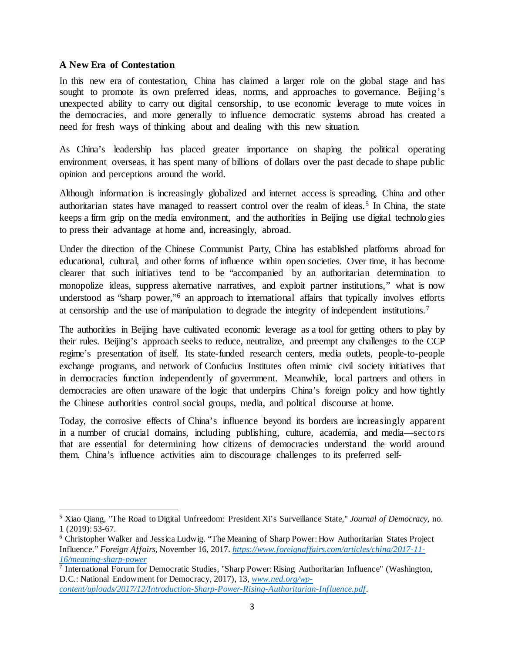#### **A New Era of Contestation**

l

In this new era of contestation, China has claimed a larger role on the global stage and has sought to promote its own preferred ideas, norms, and approaches to governance. Beijing's unexpected ability to carry out digital censorship, to use economic leverage to mute voices in the democracies, and more generally to influence democratic systems abroad has created a need for fresh ways of thinking about and dealing with this new situation.

As China's leadership has placed greater importance on shaping the political operating environment overseas, it has spent many of billions of dollars over the past decade to shape public opinion and perceptions around the world.

Although information is increasingly globalized and internet access is spreading, China and other authoritarian states have managed to reassert control over the realm of ideas.<sup>[5](#page-2-0)</sup> In China, the state keeps a firm grip on the media environment, and the authorities in Beijing use digital technolo gies to press their advantage at home and, increasingly, abroad.

Under the direction of the Chinese Communist Party, China has established platforms abroad for educational, cultural, and other forms of influence within open societies. Over time, it has become clearer that such initiatives tend to be "accompanied by an authoritarian determination to monopolize ideas, suppress alternative narratives, and exploit partner institutions," what is now understood as "sharp power,"<sup>6</sup> an approach to international affairs that typically involves efforts at censorship and the use of manipulation to degrade the integrity of independent institutions.[7](#page-2-2)

The authorities in Beijing have cultivated economic leverage as a tool for getting others to play by their rules. Beijing's approach seeks to reduce, neutralize, and preempt any challenges to the CCP regime's presentation of itself. Its state-funded research centers, media outlets, people-to-people exchange programs, and network of Confucius Institutes often mimic civil society initiatives that in democracies function independently of government. Meanwhile, local partners and others in democracies are often unaware of the logic that underpins China's foreign policy and how tightly the Chinese authorities control social groups, media, and political discourse at home.

Today, the corrosive effects of China's influence beyond its borders are increasingly apparent in a number of crucial domains, including publishing, culture, academia, and media—secto rs that are essential for determining how citizens of democracies understand the world around them. China's influence activities aim to discourage challenges to its preferred self-

<span id="page-2-0"></span><sup>5</sup> Xiao Qiang, "The Road to Digital Unfreedom: President Xi's Surveillance State," *Journal of Democracy*, no. 1 (2019): 53-67.

<span id="page-2-1"></span><sup>6</sup> Christopher Walker and Jessica Ludwig. "The Meaning of Sharp Power: How Authoritarian States Project Influence." *Foreign Affairs,* November 16, 2017. *[https://www.foreignaffairs.com/articles/china/2017-11-](https://www.foreignaffairs.com/articles/china/2017-11-16/meaning-sharp-power) [16/meaning-sharp-power](https://www.foreignaffairs.com/articles/china/2017-11-16/meaning-sharp-power)*

<span id="page-2-2"></span> $\frac{7}{7}$  International Forum for Democratic Studies, "Sharp Power: Rising Authoritarian Influence" (Washington, D.C.: National Endowment for Democracy, 2017), 13, *[www.ned.org/wp](http://www.ned.org/wp-content/uploads/2017/12/Introduction-Sharp-Power-Rising-Authoritarian-Influence.pdf)[content/uploads/2017/12/Introduction-Sharp-Power-Rising-Authoritarian-Influence.pdf](http://www.ned.org/wp-content/uploads/2017/12/Introduction-Sharp-Power-Rising-Authoritarian-Influence.pdf)*.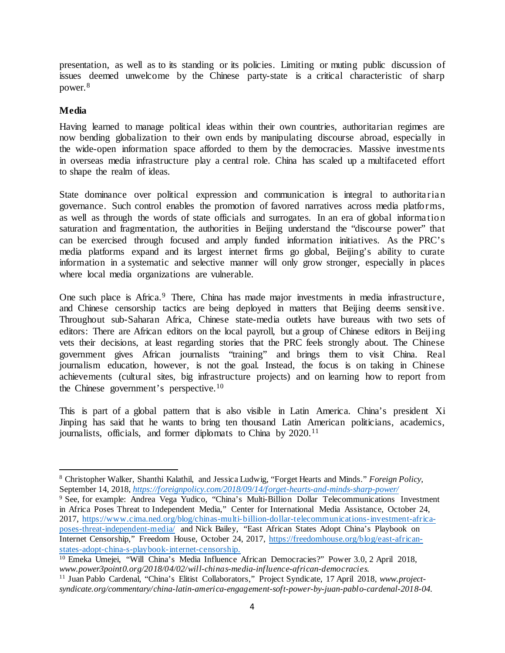presentation, as well as to its standing or its policies. Limiting or muting public discussion of issues deemed unwelcome by the Chinese party-state is a critical characteristic of sharp power.[8](#page-3-0)

## **Media**

l

Having learned to manage political ideas within their own countries, authoritarian regimes are now bending globalization to their own ends by manipulating discourse abroad, especially in the wide-open information space afforded to them by the democracies. Massive investments in overseas media infrastructure play a central role. China has scaled up a multifaceted effort to shape the realm of ideas.

State dominance over political expression and communication is integral to authoritarian governance. Such control enables the promotion of favored narratives across media platfo rms, as well as through the words of state officials and surrogates. In an era of global informatio n saturation and fragmentation, the authorities in Beijing understand the "discourse power" that can be exercised through focused and amply funded information initiatives. As the PRC's media platforms expand and its largest internet firms go global, Beijing's ability to curate information in a systematic and selective manner will only grow stronger, especially in places where local media organizations are vulnerable.

One such place is Africa.<sup>[9](#page-3-1)</sup> There, China has made major investments in media infrastructure, and Chinese censorship tactics are being deployed in matters that Beijing deems sensitive. Throughout sub-Saharan Africa, Chinese state-media outlets have bureaus with two sets of editors: There are African editors on the local payroll, but a group of Chinese editors in Beijing vets their decisions, at least regarding stories that the PRC feels strongly about. The Chinese government gives African journalists "training" and brings them to visit China. Real journalism education, however, is not the goal. Instead, the focus is on taking in Chinese achievements (cultural sites, big infrastructure projects) and on learning how to report from the Chinese government's perspective.[10](#page-3-2)

This is part of a global pattern that is also visible in Latin America. China's president Xi Jinping has said that he wants to bring ten thousand Latin American politicians, academics, journalists, officials, and former diplomats to China by 2020.<sup>[11](#page-3-3)</sup>

<span id="page-3-0"></span><sup>8</sup> Christopher Walker, Shanthi Kalathil, and Jessica Ludwig, "Forget Hearts and Minds." *Foreign Policy,*  September 14, 2018, *<https://foreignpolicy.com/2018/09/14/forget-hearts-and-minds-sharp-power/>*

<span id="page-3-1"></span><sup>&</sup>lt;sup>9</sup> See, for example: Andrea Vega Yudico, "China's Multi-Billion Dollar Telecommunications Investment in Africa Poses Threat to Independent Media," Center for International Media Assistance, October 24, 2017, [https://www.cima.ned.org/blog/chinas-multi-billion-dollar-telecommunications-investment-africa](https://www.cima.ned.org/blog/chinas-multi-billion-dollar-telecommunications-investment-africa-poses-threat-independent-media/)[poses-threat-independent-media/](https://www.cima.ned.org/blog/chinas-multi-billion-dollar-telecommunications-investment-africa-poses-threat-independent-media/) and Nick Bailey, "East African States Adopt China's Playbook on Internet Censorship," Freedom House, October 24, 2017, [https://freedomhouse.org/blog/east-african](https://freedomhouse.org/blog/east-african-states-adopt-china-s-playbook-internet-censorship)[states-adopt-china-s-playbook-internet-censorship.](https://freedomhouse.org/blog/east-african-states-adopt-china-s-playbook-internet-censorship)

<span id="page-3-2"></span><sup>&</sup>lt;sup>10</sup> Emeka Umejei, "Will China's Media Influence African Democracies?" Power 3.0, 2 April 2018, *www.power3point0.org/2018/04/02/will-chinas-media-influence-african-democracies.*

<span id="page-3-3"></span><sup>11</sup> Juan Pablo Cardenal, "China's Elitist Collaborators," Project Syndicate, 17 April 2018, *[www.project](file://vc-file2.ned.org/Documents/christopherw/Documents/Sharp%20Power/New%20SRF%20grant%20July%202018/www.project-syndicate.org/commentary/china-latin-america-engagement-soft-power-by-juan-pablo-cardenal-2018-04)[syndicate.org/commentary/china-latin-america-engagement-soft-power-by-juan-pablo-cardenal-2018-04.](file://vc-file2.ned.org/Documents/christopherw/Documents/Sharp%20Power/New%20SRF%20grant%20July%202018/www.project-syndicate.org/commentary/china-latin-america-engagement-soft-power-by-juan-pablo-cardenal-2018-04)*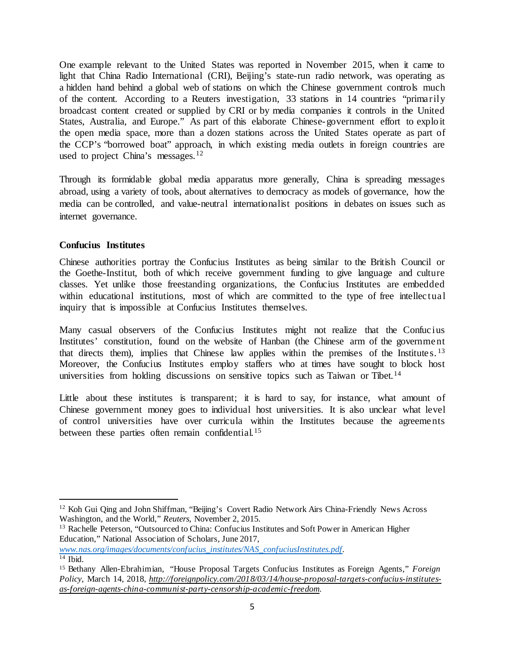One example relevant to the United States was reported in November 2015, when it came to light that China Radio International (CRI), Beijing's state-run radio network, was operating as a hidden hand behind a global web of stations on which the Chinese government controls much of the content. According to a Reuters investigation, 33 stations in 14 countries "primarily broadcast content created or supplied by CRI or by media companies it controls in the United States, Australia, and Europe." As part of this elaborate Chinese-government effort to explo it the open media space, more than a dozen stations across the United States operate as part of the CCP's "borrowed boat" approach, in which existing media outlets in foreign countries are used to project China's messages.<sup>[12](#page-4-0)</sup>

Through its formidable global media apparatus more generally, China is spreading messages abroad, using a variety of tools, about alternatives to democracy as models of governance, how the media can be controlled, and value-neutral internationalist positions in debates on issues such as internet governance.

# **Confucius Institutes**

l

Chinese authorities portray the Confucius Institutes as being similar to the British Council or the Goethe-Institut, both of which receive government funding to give language and culture classes. Yet unlike those freestanding organizations, the Confucius Institutes are embedded within educational institutions, most of which are committed to the type of free intellectual inquiry that is impossible at Confucius Institutes themselves.

Many casual observers of the Confucius Institutes might not realize that the Confucius Institutes' constitution, found on the website of Hanban (the Chinese arm of the government that directs them), implies that Chinese law applies within the premises of the Institutes. [13](#page-4-1) Moreover, the Confucius Institutes employ staffers who at times have sought to block host universities from holding discussions on sensitive topics such as Taiwan or Tibet.<sup>[14](#page-4-2)</sup>

Little about these institutes is transparent; it is hard to say, for instance, what amount of Chinese government money goes to individual host universities. It is also unclear what level of control universities have over curricula within the Institutes because the agreements between these parties often remain confidential.<sup>[15](#page-4-3)</sup>

<span id="page-4-2"></span>*[www.nas.org/images/documents/confucius\\_institutes/NAS\\_confuciusInstitutes.pdf.](http://www.nas.org/images/documents/confucius_institutes/NAS_confuciusInstitutes.pdf)*  $14$  Ibid.

<span id="page-4-0"></span><sup>&</sup>lt;sup>12</sup> Koh Gui Qing and John Shiffman, "Beijing's Covert Radio Network Airs China-Friendly News Across Washington, and the World," *Reuters*, November 2, 2015.

<span id="page-4-1"></span><sup>&</sup>lt;sup>13</sup> Rachelle Peterson, "Outsourced to China: Confucius Institutes and Soft Power in American Higher Education," National Association of Scholars, June 2017,

<span id="page-4-3"></span><sup>15</sup> Bethany Allen-Ebrahimian, "House Proposal Targets Confucius Institutes as Foreign Agents," *Foreign Policy,* March 14, 2018, *http://foreignpolicy.com/2018/03/14/house-proposal-targets-confucius-institutesas-foreign-agents-china-communist-party-censorship-academic-freedom.*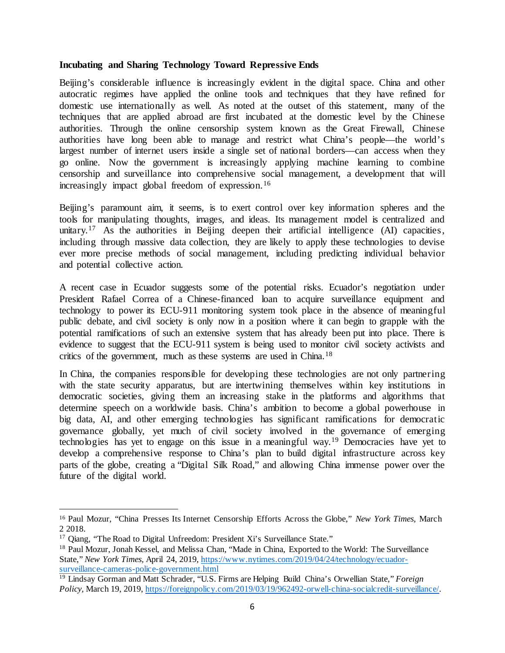#### **Incubating and Sharing Technology Toward Repressive Ends**

Beijing's considerable influence is increasingly evident in the digital space. China and other autocratic regimes have applied the online tools and techniques that they have refined for domestic use internationally as well. As noted at the outset of this statement, many of the techniques that are applied abroad are first incubated at the domestic level by the Chinese authorities. Through the online censorship system known as the Great Firewall, Chinese authorities have long been able to manage and restrict what China's people—the world's largest number of internet users inside a single set of national borders—can access when they go online. Now the government is increasingly applying machine learning to combine censorship and surveillance into comprehensive social management, a development that will increasingly impact global freedom of expression.<sup>[16](#page-5-0)</sup>

Beijing's paramount aim, it seems, is to exert control over key information spheres and the tools for manipulating thoughts, images, and ideas. Its management model is centralized and unitary.<sup>[17](#page-5-1)</sup> As the authorities in Beijing deepen their artificial intelligence  $(AI)$  capacities, including through massive data collection, they are likely to apply these technologies to devise ever more precise methods of social management, including predicting individual behavior and potential collective action.

A recent case in Ecuador suggests some of the potential risks. Ecuador's negotiation under President Rafael Correa of a Chinese-financed loan to acquire surveillance equipment and technology to power its ECU-911 monitoring system took place in the absence of meaningful public debate, and civil society is only now in a position where it can begin to grapple with the potential ramifications of such an extensive system that has already been put into place. There is evidence to suggest that the ECU-911 system is being used to monitor civil society activists and critics of the government, much as these systems are used in China.[18](#page-5-2)

In China, the companies responsible for developing these technologies are not only partnering with the state security apparatus, but are intertwining themselves within key institutions in democratic societies, giving them an increasing stake in the platforms and algorithms that determine speech on a worldwide basis. China's ambition to become a global powerhouse in big data, AI, and other emerging technologies has significant ramifications for democratic governance globally, yet much of civil society involved in the governance of emerging technologies has yet to engage on this issue in a meaningful way.[19](#page-5-3) Democracies have yet to develop a comprehensive response to China's plan to build digital infrastructure across key parts of the globe, creating a "Digital Silk Road," and allowing China immense power over the future of the digital world.

l

<span id="page-5-0"></span><sup>16</sup> Paul Mozur, "China Presses Its Internet Censorship Efforts Across the Globe," *New York Times,* March 2 2018.

<span id="page-5-1"></span><sup>&</sup>lt;sup>17</sup> Qiang, "The Road to Digital Unfreedom: President Xi's Surveillance State."

<span id="page-5-2"></span><sup>&</sup>lt;sup>18</sup> Paul Mozur, Jonah Kessel, and Melissa Chan, "Made in China, Exported to the World: The Surveillance State," *New York Times,* April 24, 2019, [https://www.nytimes.com/2019/04/24/technology/ecuador](https://www.nytimes.com/2019/04/24/technology/ecuador-surveillance-cameras-police-government.html)[surveillance-cameras-police-government.html](https://www.nytimes.com/2019/04/24/technology/ecuador-surveillance-cameras-police-government.html)

<span id="page-5-3"></span><sup>19</sup> Lindsay Gorman and Matt Schrader, "U.S. Firms are Helping Build China's Orwellian State," *Foreign Policy,* March 19, 2019, [https://foreignpolicy.com/2019/03/19/962492-orwell-china-socialcredit-surveillance/.](https://foreignpolicy.com/2019/03/19/962492-orwell-china-socialcredit-surveillance/)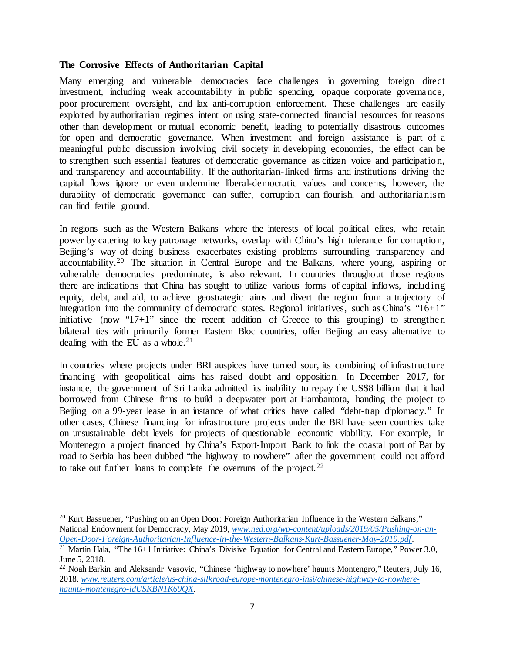#### **The Corrosive Effects of Authoritarian Capital**

Many emerging and vulnerable democracies face challenges in governing foreign direct investment, including weak accountability in public spending, opaque corporate governance, poor procurement oversight, and lax anti-corruption enforcement. These challenges are easily exploited by authoritarian regimes intent on using state-connected financial resources for reasons other than development or mutual economic benefit, leading to potentially disastrous outcomes for open and democratic governance. When investment and foreign assistance is part of a meaningful public discussion involving civil society in developing economies, the effect can be to strengthen such essential features of democratic governance as citizen voice and participatio n, and transparency and accountability. If the authoritarian-linked firms and institutions driving the capital flows ignore or even undermine liberal-democratic values and concerns, however, the durability of democratic governance can suffer, corruption can flourish, and authoritarianism can find fertile ground.

In regions such as the Western Balkans where the interests of local political elites, who retain power by catering to key patronage networks, overlap with China's high tolerance for corruptio n, Beijing's way of doing business exacerbates existing problems surrounding transparency and accountability.[20](#page-6-0) The situation in Central Europe and the Balkans, where young, aspiring or vulnerable democracies predominate, is also relevant. In countries throughout those regions there are indications that China has sought to utilize various forms of capital inflows, including equity, debt, and aid, to achieve geostrategic aims and divert the region from a trajectory of integration into the community of democratic states. Regional initiatives, such as China's "16+1" initiative (now "17+1" since the recent addition of Greece to this grouping) to strengthen bilateral ties with primarily former Eastern Bloc countries, offer Beijing an easy alternative to dealing with the EU as a whole.<sup>[21](#page-6-1)</sup>

In countries where projects under BRI auspices have turned sour, its combining of infrastructure financing with geopolitical aims has raised doubt and opposition. In December 2017, for instance, the government of Sri Lanka admitted its inability to repay the US\$8 billion that it had borrowed from Chinese firms to build a deepwater port at Hambantota, handing the project to Beijing on a 99-year lease in an instance of what critics have called "debt-trap diplomacy." In other cases, Chinese financing for infrastructure projects under the BRI have seen countries take on unsustainable debt levels for projects of questionable economic viability. For example, in Montenegro a project financed by China's Export-Import Bank to link the coastal port of Bar by road to Serbia has been dubbed "the highway to nowhere" after the government could not afford to take out further loans to complete the overruns of the project.<sup>[22](#page-6-2)</sup>

l

<span id="page-6-0"></span><sup>&</sup>lt;sup>20</sup> Kurt Bassuener, "Pushing on an Open Door: Foreign Authoritarian Influence in the Western Balkans," National Endowment for Democracy, May 2019, *[www.ned.org/wp-content/uploads/2019/05/Pushing-on-an-](http://www.ned.org/wp-content/uploads/2019/05/Pushing-on-an-Open-Door-Foreign-Authoritarian-Influence-in-the-Western-Balkans-Kurt-Bassuener-May-2019.pdf)[Open-Door-Foreign-Authoritarian-Influence-in-the-Western-Balkans-Kurt-Bassuener-May-2019.pdf](http://www.ned.org/wp-content/uploads/2019/05/Pushing-on-an-Open-Door-Foreign-Authoritarian-Influence-in-the-Western-Balkans-Kurt-Bassuener-May-2019.pdf)*.

<span id="page-6-1"></span><sup>&</sup>lt;sup>21</sup> Martin Hala, "The 16+1 Initiative: China's Divisive Equation for Central and Eastern Europe," Power 3.0, June 5, 2018.

<span id="page-6-2"></span><sup>&</sup>lt;sup>22</sup> Noah Barkin and Aleksandr Vasovic, "Chinese 'highway to nowhere' haunts Montengro," Reuters, July 16, 2018. *[www.reuters.com/article/us-china-silkroad-europe-montenegro-insi/chinese-highway-to-nowhere](http://www.reuters.com/article/us-china-silkroad-europe-montenegro-insi/chinese-highway-to-nowhere-haunts-montenegro-idUSKBN1K60QX)[haunts-montenegro-idUSKBN1K60QX](http://www.reuters.com/article/us-china-silkroad-europe-montenegro-insi/chinese-highway-to-nowhere-haunts-montenegro-idUSKBN1K60QX)*.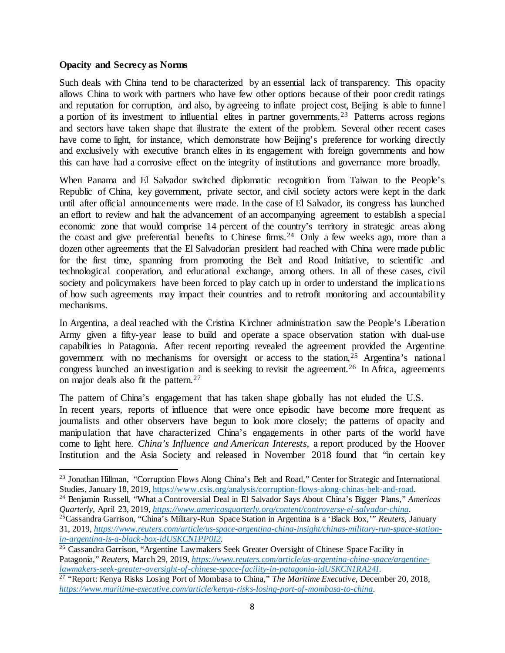#### **Opacity and Secrecy as Norms**

l

Such deals with China tend to be characterized by an essential lack of transparency. This opacity allows China to work with partners who have few other options because of their poor credit ratings and reputation for corruption, and also, by agreeing to inflate project cost, Beijing is able to funnel a portion of its investment to influential elites in partner governments.[23](#page-7-0) Patterns across regions and sectors have taken shape that illustrate the extent of the problem. Several other recent cases have come to light, for instance, which demonstrate how Beijing's preference for working directly and exclusively with executive branch elites in its engagement with foreign governments and how this can have had a corrosive effect on the integrity of institutions and governance more broadly.

When Panama and El Salvador switched diplomatic recognition from Taiwan to the People's Republic of China, key government, private sector, and civil society actors were kept in the dark until after official announcements were made. In the case of El Salvador, its congress has launched an effort to review and halt the advancement of an accompanying agreement to establish a special economic zone that would comprise 14 percent of the country's territory in strategic areas along the coast and give preferential benefits to Chinese firms.<sup>[24](#page-7-1)</sup> Only a few weeks ago, more than a dozen other agreements that the El Salvadorian president had reached with China were made public for the first time, spanning from promoting the Belt and Road Initiative, to scientific and technological cooperation, and educational exchange, among others. In all of these cases, civil society and policymakers have been forced to play catch up in order to understand the implications of how such agreements may impact their countries and to retrofit monitoring and accountability mechanisms.

In Argentina, a deal reached with the Cristina Kirchner administration saw the People's Liberation Army given a fifty-year lease to build and operate a space observation station with dual-use capabilities in Patagonia. After recent reporting revealed the agreement provided the Argentine government with no mechanisms for oversight or access to the station,[25](#page-7-2) Argentina's national congress launched an investigation and is seeking to revisit the agreement.<sup>[26](#page-7-3)</sup> In Africa, agreements on major deals also fit the pattern.<sup>[27](#page-7-4)</sup>

The pattern of China's engagement that has taken shape globally has not eluded the U.S. In recent years, reports of influence that were once episodic have become more frequent as journalists and other observers have begun to look more closely; the patterns of opacity and manipulation that have characterized China's engagements in other parts of the world have come to light here. *China's Influence and American Interests*, a report produced by the Hoover Institution and the Asia Society and released in November 2018 found that "in certain key

<span id="page-7-0"></span><sup>&</sup>lt;sup>23</sup> Jonathan Hillman, "Corruption Flows Along China's Belt and Road," Center for Strategic and International Studies, January 18, 2019, [https://www.csis.org/analysis/corruption-flows-along-chinas-belt-and-road.](https://www.csis.org/analysis/corruption-flows-along-chinas-belt-and-road)

<span id="page-7-1"></span><sup>24</sup> Benjamin Russell, "What a Controversial Deal in El Salvador Says About China's Bigger Plans," *Americas*  Quarterly, April 23, 2019, https://www.americasquarterly.org/content/controversy-el-salvador-china.<br><sup>25</sup>Cassandra Garrison, "China's Military-Run Space Station in Argentina is a 'Black Box,'" Reuters, January

<span id="page-7-2"></span><sup>31, 2019,</sup> *[https://www.reuters.com/article/us-space-argentina-china-insight/chinas-military-run-space-station](https://www.reuters.com/article/us-space-argentina-china-insight/chinas-military-run-space-station-in-argentina-is-a-black-box-idUSKCN1PP0I2)[in-argentina-is-a-black-box-idUSKCN1PP0I2.](https://www.reuters.com/article/us-space-argentina-china-insight/chinas-military-run-space-station-in-argentina-is-a-black-box-idUSKCN1PP0I2)*

<span id="page-7-3"></span><sup>&</sup>lt;sup>26</sup> Cassandra Garrison, "Argentine Lawmakers Seek Greater Oversight of Chinese Space Facility in Patagonia," *Reuters,* March 29, 2019, *[https://www.reuters.com/article/us-argentina-china-space/argentine](https://www.reuters.com/article/us-argentina-china-space/argentine-lawmakers-seek-greater-oversight-of-chinese-space-facility-in-patagonia-idUSKCN1RA24I)[lawmakers-seek-greater-oversight-of-chinese-space-facility-in-patagonia-idUSKCN1RA24I](https://www.reuters.com/article/us-argentina-china-space/argentine-lawmakers-seek-greater-oversight-of-chinese-space-facility-in-patagonia-idUSKCN1RA24I)*.

<span id="page-7-4"></span><sup>27</sup> "Report: Kenya Risks Losing Port of Mombasa to China," *The Maritime Executive,* December 20, 2018, *<https://www.maritime-executive.com/article/kenya-risks-losing-port-of-mombasa-to-china>*.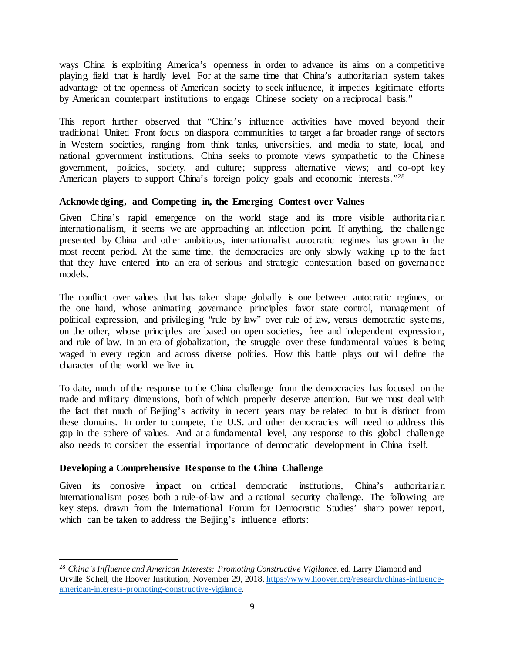ways China is exploiting America's openness in order to advance its aims on a competitive playing field that is hardly level. For at the same time that China's authoritarian system takes advantage of the openness of American society to seek influence, it impedes legitimate efforts by American counterpart institutions to engage Chinese society on a reciprocal basis."

This report further observed that "China's influence activities have moved beyond their traditional United Front focus on diaspora communities to target a far broader range of sectors in Western societies, ranging from think tanks, universities, and media to state, local, and national government institutions. China seeks to promote views sympathetic to the Chinese government, policies, society, and culture; suppress alternative views; and co-opt key American players to support China's foreign policy goals and economic interests."<sup>28</sup>

#### **Acknowledging, and Competing in, the Emerging Contest over Values**

Given China's rapid emergence on the world stage and its more visible authoritarian internationalism, it seems we are approaching an inflection point. If anything, the challen ge presented by China and other ambitious, internationalist autocratic regimes has grown in the most recent period. At the same time, the democracies are only slowly waking up to the fact that they have entered into an era of serious and strategic contestation based on governance models.

The conflict over values that has taken shape globally is one between autocratic regimes, on the one hand, whose animating governance principles favor state control, management of political expression, and privileging "rule by law" over rule of law, versus democratic systems, on the other, whose principles are based on open societies, free and independent expressio n, and rule of law. In an era of globalization, the struggle over these fundamental values is being waged in every region and across diverse polities. How this battle plays out will define the character of the world we live in.

To date, much of the response to the China challenge from the democracies has focused on the trade and military dimensions, both of which properly deserve attention. But we must deal with the fact that much of Beijing's activity in recent years may be related to but is distinct from these domains. In order to compete, the U.S. and other democracies will need to address this gap in the sphere of values. And at a fundamental level, any response to this global challen ge also needs to consider the essential importance of democratic development in China itself.

### **Developing a Comprehensive Response to the China Challenge**

l

Given its corrosive impact on critical democratic institutions, China's authoritarian internationalism poses both a rule-of-law and a national security challenge. The following are key steps, drawn from the International Forum for Democratic Studies' sharp power report, which can be taken to address the Beijing's influence efforts:

<span id="page-8-0"></span><sup>&</sup>lt;sup>28</sup> China's Influence and American Interests: Promoting Constructive Vigilance, ed. Larry Diamond and Orville Schell, the Hoover Institution, November 29, 2018, [https://www.hoover.org/research/chinas-influence](https://www.hoover.org/research/chinas-influence-american-interests-promoting-constructive-vigilance)[american-interests-promoting-constructive-vigilance.](https://www.hoover.org/research/chinas-influence-american-interests-promoting-constructive-vigilance)